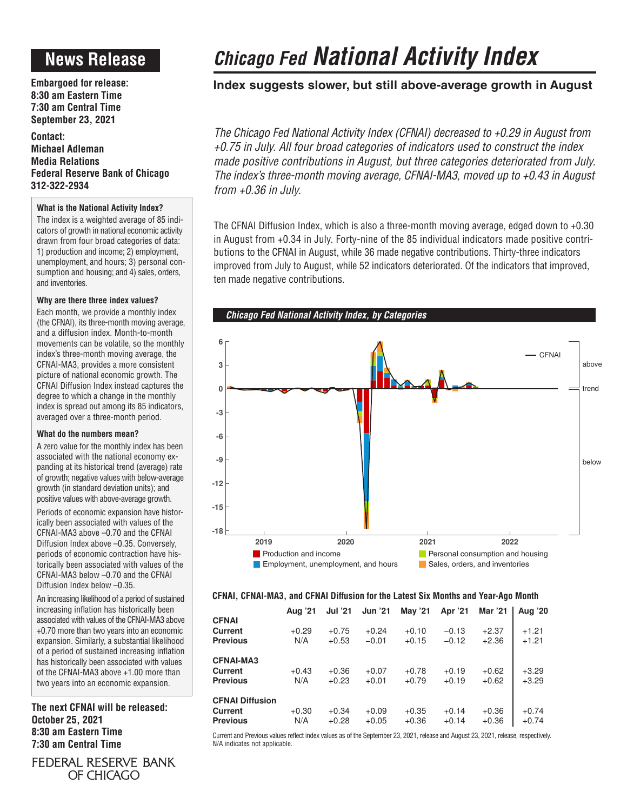# **News Release**

**Embargoed for release: 8:30 am Eastern Time 7:30 am Central Time September 23, 2021**

**Contact: Michael Adleman Media Relations Federal Reserve Bank of Chicago 312-322-2934**

### **What is the National Activity Index?**

The index is a weighted average of 85 indicators of growth in national economic activity drawn from four broad categories of data: 1) production and income; 2) employment, unemployment, and hours; 3) personal consumption and housing; and 4) sales, orders, and inventories.

### **Why are there three index values?**

Each month, we provide a monthly index (the CFNAI), its three-month moving average, and a diffusion index. Month-to-month movements can be volatile, so the monthly index's three-month moving average, the CFNAI-MA3, provides a more consistent picture of national economic growth. The CFNAI Diffusion Index instead captures the degree to which a change in the monthly index is spread out among its 85 indicators, averaged over a three-month period.

### **What do the numbers mean?**

A zero value for the monthly index has been associated with the national economy expanding at its historical trend (average) rate of growth; negative values with below-average growth (in standard deviation units); and positive values with above-average growth.

Periods of economic expansion have historically been associated with values of the CFNAI-MA3 above –0.70 and the CFNAI Diffusion Index above –0.35. Conversely, periods of economic contraction have historically been associated with values of the CFNAI-MA3 below –0.70 and the CFNAI Diffusion Index below –0.35.

An increasing likelihood of a period of sustained increasing inflation has historically been associated with values of the CFNAI-MA3 above +0.70 more than two years into an economic expansion. Similarly, a substantial likelihood of a period of sustained increasing inflation has historically been associated with values of the CFNAI-MA3 above +1.00 more than two years into an economic expansion.

**The next CFNAI will be released: October 25, 2021 8:30 am Eastern Time 7:30 am Central Time**

FEDERAL RESERVE BANK OF CHICAGO

# *Chicago Fed National Activity Index*

### **Index suggests slower, but still above-average growth in August**

*The Chicago Fed National Activity Index (CFNAI) decreased to +0.29 in August from +0.75 in July. All four broad categories of indicators used to construct the index made positive contributions in August, but three categories deteriorated from July. The index's three-month moving average, CFNAI-MA3, moved up to +0.43 in August from +0.36 in July.*

The CFNAI Diffusion Index, which is also a three-month moving average, edged down to +0.30 in August from +0.34 in July. Forty-nine of the 85 individual indicators made positive contributions to the CFNAI in August, while 36 made negative contributions. Thirty-three indicators improved from July to August, while 52 indicators deteriorated. Of the indicators that improved, ten made negative contributions.



### **CFNAI, CFNAI-MA3, and CFNAI Diffusion for the Latest Six Months and Year-Ago Month**

|                                                             | Aug '21        | <b>Jul '21</b>     | <b>Jun '21</b>     | <b>May '21</b>     | Apr '21            | Mar '21            | <b>Aug '20</b>     |
|-------------------------------------------------------------|----------------|--------------------|--------------------|--------------------|--------------------|--------------------|--------------------|
| <b>CFNAI</b><br>Current<br><b>Previous</b>                  | $+0.29$<br>N/A | $+0.75$<br>$+0.53$ | $+0.24$<br>$-0.01$ | $+0.10$<br>$+0.15$ | $-0.13$<br>$-0.12$ | $+2.37$<br>$+2.36$ | $+1.21$<br>$+1.21$ |
| <b>CFNAI-MA3</b><br>Current<br><b>Previous</b>              | $+0.43$<br>N/A | $+0.36$<br>$+0.23$ | $+0.07$<br>$+0.01$ | $+0.78$<br>$+0.79$ | $+0.19$<br>$+0.19$ | $+0.62$<br>$+0.62$ | $+3.29$<br>$+3.29$ |
| <b>CFNAI Diffusion</b><br><b>Current</b><br><b>Previous</b> | $+0.30$<br>N/A | $+0.34$<br>$+0.28$ | $+0.09$<br>$+0.05$ | $+0.35$<br>$+0.36$ | $+0.14$<br>$+0.14$ | $+0.36$<br>$+0.36$ | $+0.74$<br>$+0.74$ |

Current and Previous values reflect index values as of the September 23, 2021, release and August 23, 2021, release, respectively. N/A indicates not applicable.